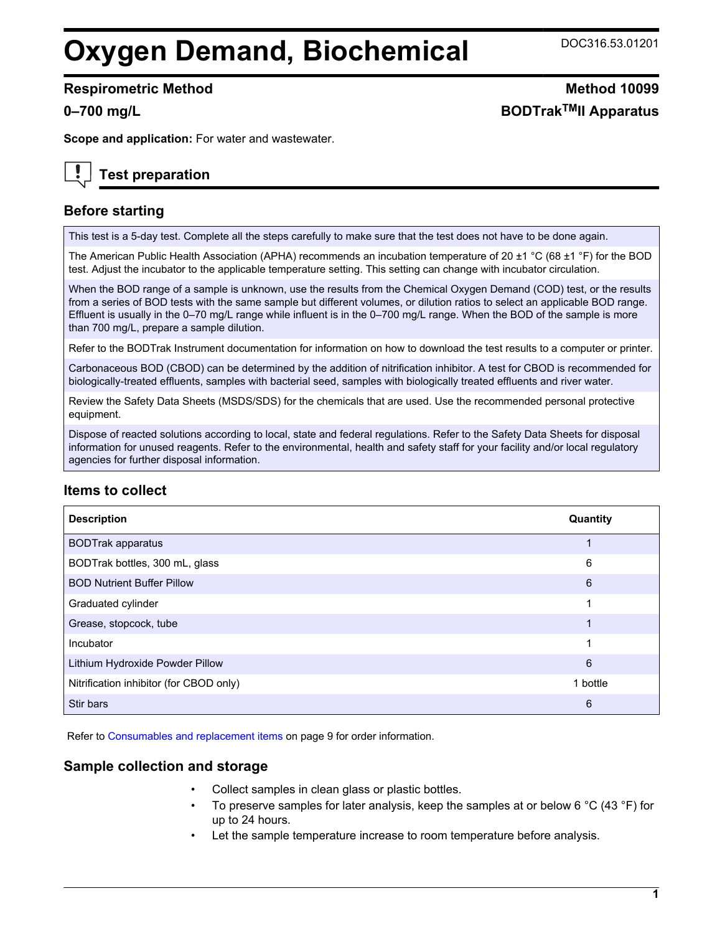## **Oxygen Demand, Biochemical** DOC316.53.01201

#### **Respirometric Method Method 10099**

**Scope and application:** For water and wastewater.

## **Test preparation**

## **Before starting**

This test is a 5-day test. Complete all the steps carefully to make sure that the test does not have to be done again.

The American Public Health Association (APHA) recommends an incubation temperature of 20 ±1 °C (68 ±1 °F) for the BOD test. Adjust the incubator to the applicable temperature setting. This setting can change with incubator circulation.

When the BOD range of a sample is unknown, use the results from the Chemical Oxygen Demand (COD) test, or the results from a series of BOD tests with the same sample but different volumes, or dilution ratios to select an applicable BOD range. Effluent is usually in the 0–70 mg/L range while influent is in the 0–700 mg/L range. When the BOD of the sample is more than 700 mg/L, prepare a sample dilution.

Refer to the BODTrak Instrument documentation for information on how to download the test results to a computer or printer.

Carbonaceous BOD (CBOD) can be determined by the addition of nitrification inhibitor. A test for CBOD is recommended for biologically-treated effluents, samples with bacterial seed, samples with biologically treated effluents and river water.

Review the Safety Data Sheets (MSDS/SDS) for the chemicals that are used. Use the recommended personal protective equipment.

Dispose of reacted solutions according to local, state and federal regulations. Refer to the Safety Data Sheets for disposal information for unused reagents. Refer to the environmental, health and safety staff for your facility and/or local regulatory agencies for further disposal information.

## **Items to collect**

| <b>Description</b>                      | Quantity |
|-----------------------------------------|----------|
| <b>BODTrak apparatus</b>                |          |
| BODTrak bottles, 300 mL, glass          | 6        |
| <b>BOD Nutrient Buffer Pillow</b>       | 6        |
| Graduated cylinder                      | 1        |
| Grease, stopcock, tube                  |          |
| Incubator                               | 1        |
| Lithium Hydroxide Powder Pillow         | 6        |
| Nitrification inhibitor (for CBOD only) | 1 bottle |
| Stir bars                               | 6        |

Refer to [Consumables and replacement items](#page-8-0) on page 9 for order information.

## **Sample collection and storage**

- Collect samples in clean glass or plastic bottles.
- To preserve samples for later analysis, keep the samples at or below 6  $^{\circ}$ C (43  $^{\circ}$ F) for up to 24 hours.
- Let the sample temperature increase to room temperature before analysis.

# **0–700 mg/L BODTrakTMII Apparatus**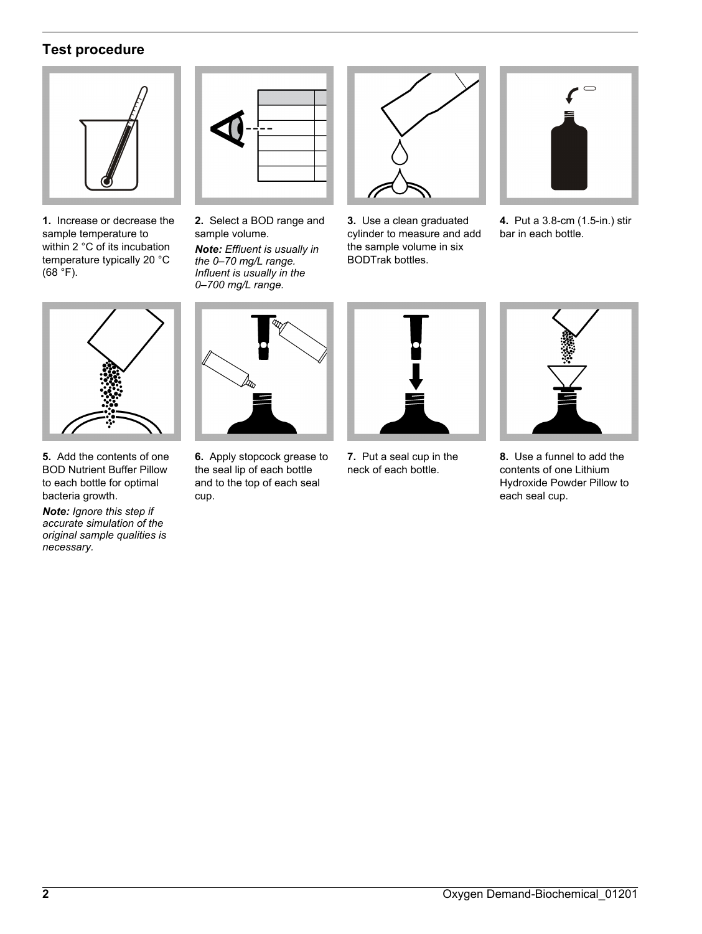## **Test procedure**



**1.** Increase or decrease the sample temperature to within 2 °C of its incubation temperature typically 20 °C  $(68 \, \degree)$ .



**2.** Select a BOD range and sample volume.

*Note: Effluent is usually in the 0–70 mg/L range. Influent is usually in the 0–700 mg/L range.*



**3.** Use a clean graduated cylinder to measure and add the sample volume in six BODTrak bottles.



**4.** Put a 3.8-cm (1.5-in.) stir bar in each bottle.



**5.** Add the contents of one BOD Nutrient Buffer Pillow to each bottle for optimal bacteria growth.

*Note: Ignore this step if accurate simulation of the original sample qualities is necessary.*



**6.** Apply stopcock grease to the seal lip of each bottle and to the top of each seal cup.



**7.** Put a seal cup in the neck of each bottle.



**8.** Use a funnel to add the contents of one Lithium Hydroxide Powder Pillow to each seal cup.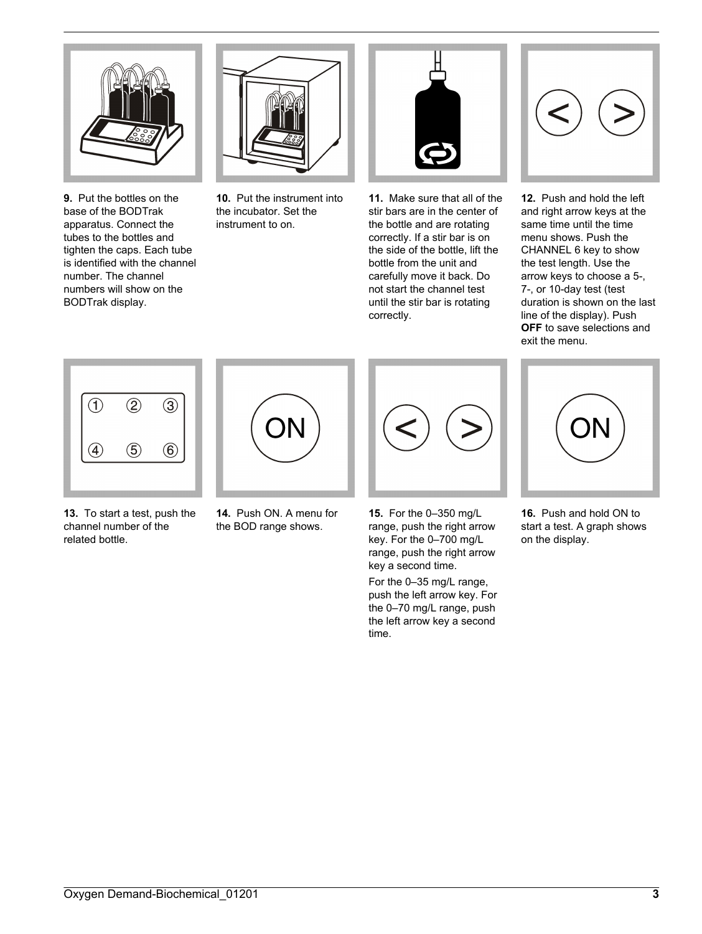<span id="page-2-0"></span>

**9.** Put the bottles on the base of the BODTrak apparatus. Connect the tubes to the bottles and tighten the caps. Each tube is identified with the channel number. The channel numbers will show on the BODTrak display.



**10.** Put the instrument into the incubator. Set the instrument to on.



**11.** Make sure that all of the stir bars are in the center of the bottle and are rotating correctly. If a stir bar is on the side of the bottle, lift the bottle from the unit and carefully move it back. Do not start the channel test until the stir bar is rotating correctly.



**12.** Push and hold the left and right arrow keys at the same time until the time menu shows. Push the CHANNEL 6 key to show the test length. Use the arrow keys to choose a 5-, 7-, or 10-day test (test duration is shown on the last line of the display). Push **OFF** to save selections and exit the menu.



- **13.** To start a test, push the channel number of the related bottle.
- **14.** Push ON. A menu for the BOD range shows.



**15.** For the 0–350 mg/L range, push the right arrow key. For the 0–700 mg/L range, push the right arrow key a second time.

For the 0–35 mg/L range, push the left arrow key. For the 0–70 mg/L range, push the left arrow key a second time.



**16.** Push and hold ON to start a test. A graph shows on the display.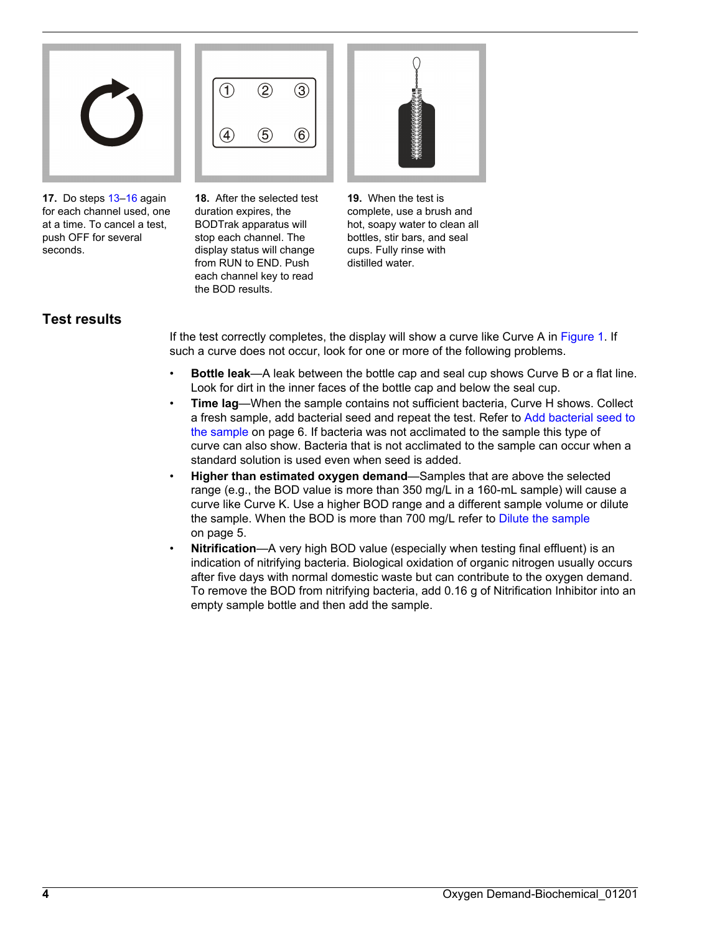

**17.** Do steps [13–16](#page-2-0) again for each channel used, one at a time. To cancel a test, push OFF for several seconds.



**18.** After the selected test duration expires, the BODTrak apparatus will stop each channel. The display status will change from RUN to END. Push each channel key to read the BOD results.



**19.** When the test is complete, use a brush and hot, soapy water to clean all bottles, stir bars, and seal cups. Fully rinse with distilled water.

## **Test results**

If the test correctly completes, the display will show a curve like Curve A in [Figure 1](#page-4-0). If such a curve does not occur, look for one or more of the following problems.

- **Bottle leak**—A leak between the bottle cap and seal cup shows Curve B or a flat line. Look for dirt in the inner faces of the bottle cap and below the seal cup.
- **Time lag**—When the sample contains not sufficient bacteria, Curve H shows. Collect a fresh sample, add bacterial seed and repeat the test. Refer to [Add bacterial seed to](#page-5-0) [the sample](#page-5-0) on page 6. If bacteria was not acclimated to the sample this type of curve can also show. Bacteria that is not acclimated to the sample can occur when a standard solution is used even when seed is added.
- **Higher than estimated oxygen demand**—Samples that are above the selected range (e.g., the BOD value is more than 350 mg/L in a 160-mL sample) will cause a curve like Curve K. Use a higher BOD range and a different sample volume or dilute the sample. When the BOD is more than 700 mg/L refer to [Dilute the sample](#page-4-0) on page 5.
- **Nitrification**—A very high BOD value (especially when testing final effluent) is an indication of nitrifying bacteria. Biological oxidation of organic nitrogen usually occurs after five days with normal domestic waste but can contribute to the oxygen demand. To remove the BOD from nitrifying bacteria, add 0.16 g of Nitrification Inhibitor into an empty sample bottle and then add the sample.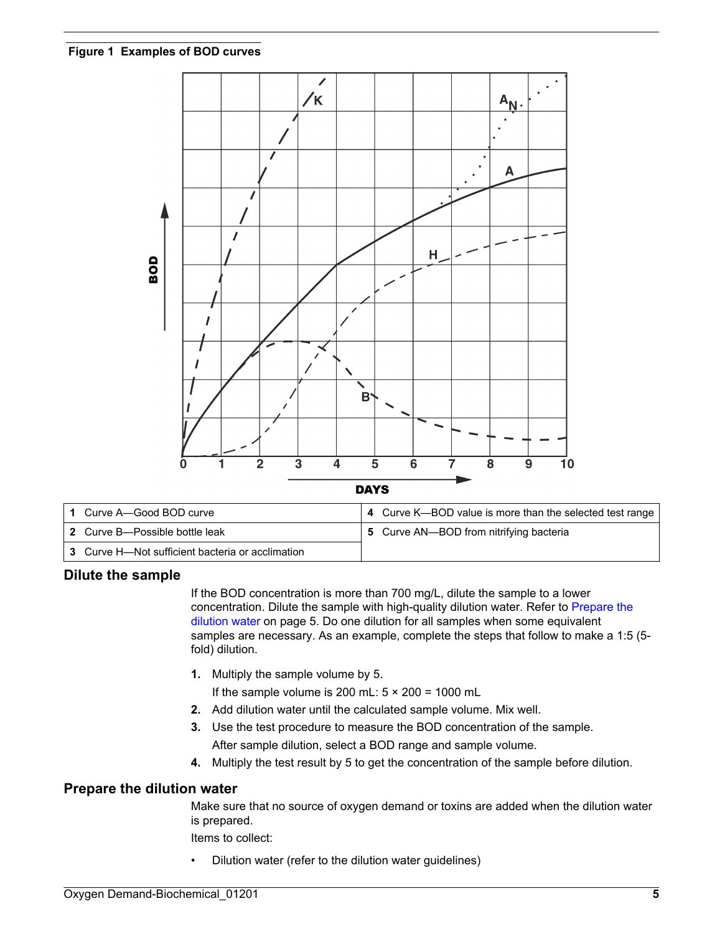<span id="page-4-0"></span>

| 1 Curve A—Good BOD curve                         | 4 Curve K—BOD value is more than the selected test range |
|--------------------------------------------------|----------------------------------------------------------|
| 2 Curve B—Possible bottle leak                   | 5 Curve AN—BOD from nitrifying bacteria                  |
| 3 Curve H-Not sufficient bacteria or acclimation |                                                          |

## **Dilute the sample**

If the BOD concentration is more than 700 mg/L, dilute the sample to a lower concentration. Dilute the sample with high-quality dilution water. Refer to Prepare the dilution water on page 5. Do one dilution for all samples when some equivalent samples are necessary. As an example, complete the steps that follow to make a 1:5 (5 fold) dilution.

**1.** Multiply the sample volume by 5.

If the sample volume is 200 mL:  $5 \times 200 = 1000$  mL

- **2.** Add dilution water until the calculated sample volume. Mix well.
- **3.** Use the test procedure to measure the BOD concentration of the sample. After sample dilution, select a BOD range and sample volume.
- **4.** Multiply the test result by 5 to get the concentration of the sample before dilution.

#### **Prepare the dilution water**

Make sure that no source of oxygen demand or toxins are added when the dilution water is prepared.

Items to collect:

• Dilution water (refer to the dilution water guidelines)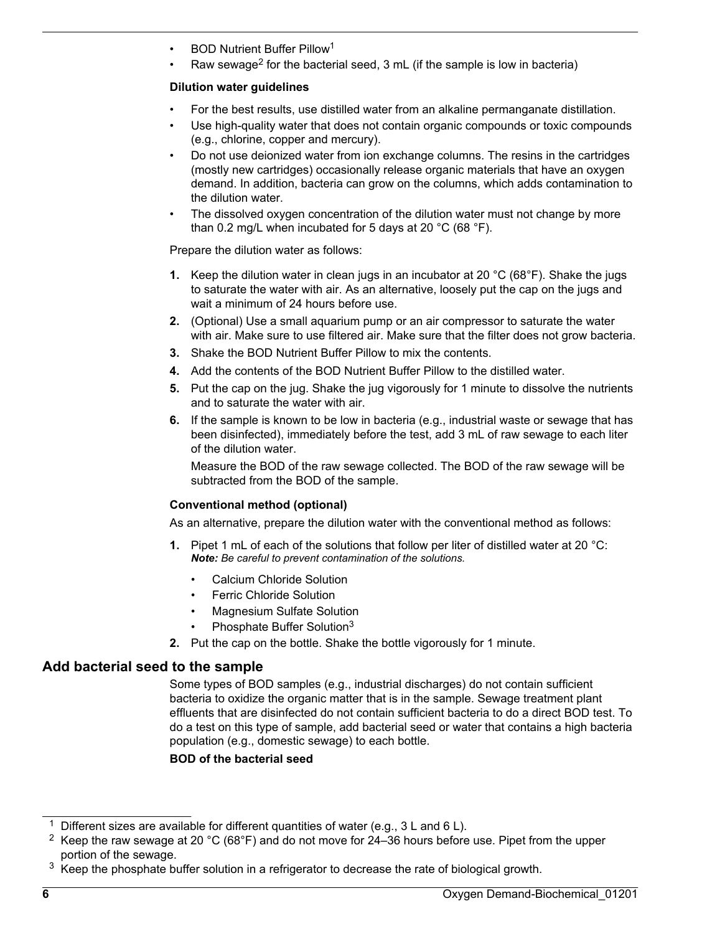- <span id="page-5-0"></span>• BOD Nutrient Buffer Pillow<sup>1</sup>
- Raw sewage<sup>2</sup> for the bacterial seed,  $3 \text{ mL}$  (if the sample is low in bacteria)

#### **Dilution water guidelines**

- For the best results, use distilled water from an alkaline permanganate distillation.
- Use high-quality water that does not contain organic compounds or toxic compounds (e.g., chlorine, copper and mercury).
- Do not use deionized water from ion exchange columns. The resins in the cartridges (mostly new cartridges) occasionally release organic materials that have an oxygen demand. In addition, bacteria can grow on the columns, which adds contamination to the dilution water.
- The dissolved oxygen concentration of the dilution water must not change by more than 0.2 mg/L when incubated for 5 days at 20 °C (68 °F).

Prepare the dilution water as follows:

- **1.** Keep the dilution water in clean jugs in an incubator at 20 °C (68°F). Shake the jugs to saturate the water with air. As an alternative, loosely put the cap on the jugs and wait a minimum of 24 hours before use.
- **2.** (Optional) Use a small aquarium pump or an air compressor to saturate the water with air. Make sure to use filtered air. Make sure that the filter does not grow bacteria.
- **3.** Shake the BOD Nutrient Buffer Pillow to mix the contents.
- **4.** Add the contents of the BOD Nutrient Buffer Pillow to the distilled water.
- **5.** Put the cap on the jug. Shake the jug vigorously for 1 minute to dissolve the nutrients and to saturate the water with air.
- **6.** If the sample is known to be low in bacteria (e.g., industrial waste or sewage that has been disinfected), immediately before the test, add 3 mL of raw sewage to each liter of the dilution water.

Measure the BOD of the raw sewage collected. The BOD of the raw sewage will be subtracted from the BOD of the sample.

## **Conventional method (optional)**

As an alternative, prepare the dilution water with the conventional method as follows:

- **1.** Pipet 1 mL of each of the solutions that follow per liter of distilled water at 20 °C: *Note: Be careful to prevent contamination of the solutions.*
	- Calcium Chloride Solution
	- **Ferric Chloride Solution**
	- Magnesium Sulfate Solution
	- Phosphate Buffer Solution<sup>3</sup>
- **2.** Put the cap on the bottle. Shake the bottle vigorously for 1 minute.

## **Add bacterial seed to the sample**

Some types of BOD samples (e.g., industrial discharges) do not contain sufficient bacteria to oxidize the organic matter that is in the sample. Sewage treatment plant effluents that are disinfected do not contain sufficient bacteria to do a direct BOD test. To do a test on this type of sample, add bacterial seed or water that contains a high bacteria population (e.g., domestic sewage) to each bottle.

**BOD of the bacterial seed**

<sup>&</sup>lt;sup>1</sup> Different sizes are available for different quantities of water (e.g.,  $3 L$  and  $6 L$ ).

<sup>&</sup>lt;sup>2</sup> Keep the raw sewage at 20 °C (68°F) and do not move for 24–36 hours before use. Pipet from the upper portion of the sewage.

 $3$  Keep the phosphate buffer solution in a refrigerator to decrease the rate of biological growth.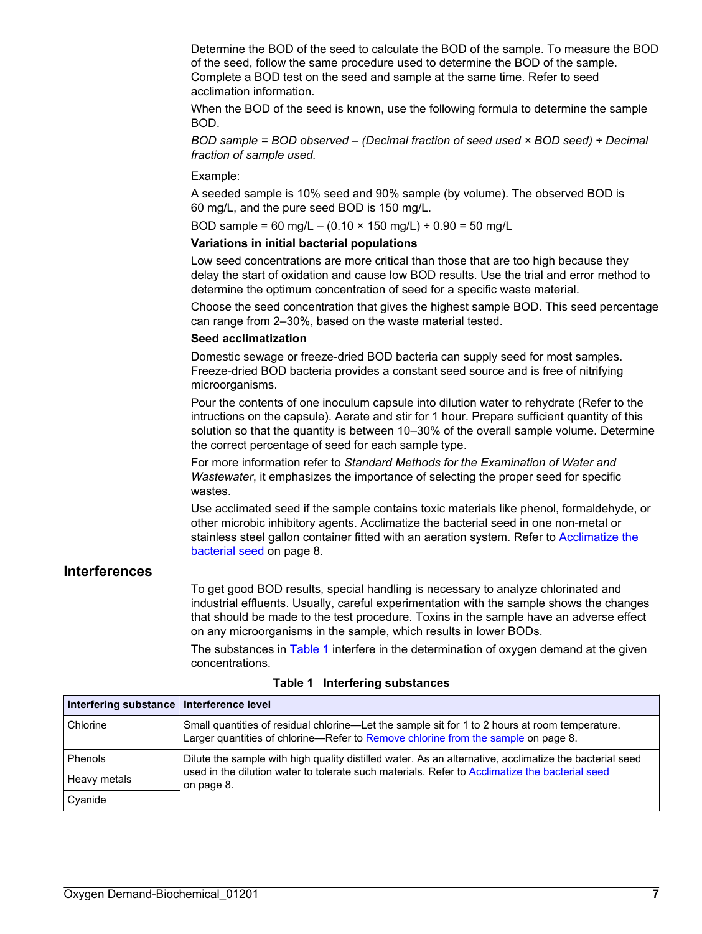Determine the BOD of the seed to calculate the BOD of the sample. To measure the BOD of the seed, follow the same procedure used to determine the BOD of the sample. Complete a BOD test on the seed and sample at the same time. Refer to seed acclimation information.

When the BOD of the seed is known, use the following formula to determine the sample BOD.

*BOD sample = BOD observed – (Decimal fraction of seed used × BOD seed) ÷ Decimal fraction of sample used.*

Example:

A seeded sample is 10% seed and 90% sample (by volume). The observed BOD is 60 mg/L, and the pure seed BOD is 150 mg/L.

BOD sample = 60 mg/L – (0.10  $\times$  150 mg/L) ÷ 0.90 = 50 mg/L

#### **Variations in initial bacterial populations**

Low seed concentrations are more critical than those that are too high because they delay the start of oxidation and cause low BOD results. Use the trial and error method to determine the optimum concentration of seed for a specific waste material.

Choose the seed concentration that gives the highest sample BOD. This seed percentage can range from 2–30%, based on the waste material tested.

#### **Seed acclimatization**

Domestic sewage or freeze-dried BOD bacteria can supply seed for most samples. Freeze-dried BOD bacteria provides a constant seed source and is free of nitrifying microorganisms.

Pour the contents of one inoculum capsule into dilution water to rehydrate (Refer to the intructions on the capsule). Aerate and stir for 1 hour. Prepare sufficient quantity of this solution so that the quantity is between 10–30% of the overall sample volume. Determine the correct percentage of seed for each sample type.

For more information refer to *Standard Methods for the Examination of Water and Wastewater*, it emphasizes the importance of selecting the proper seed for specific wastes.

Use acclimated seed if the sample contains toxic materials like phenol, formaldehyde, or other microbic inhibitory agents. Acclimatize the bacterial seed in one non-metal or stainless steel gallon container fitted with an aeration system. Refer to [Acclimatize the](#page-7-0) [bacterial seed](#page-7-0) on page 8.

## **Interferences**

To get good BOD results, special handling is necessary to analyze chlorinated and industrial effluents. Usually, careful experimentation with the sample shows the changes that should be made to the test procedure. Toxins in the sample have an adverse effect on any microorganisms in the sample, which results in lower BODs.

The substances in Table 1 interfere in the determination of oxygen demand at the given concentrations.

| Interfering substance   Interference level |                                                                                                                                                                                     |
|--------------------------------------------|-------------------------------------------------------------------------------------------------------------------------------------------------------------------------------------|
| Chlorine                                   | Small quantities of residual chlorine—Let the sample sit for 1 to 2 hours at room temperature.<br>Larger quantities of chlorine—Refer to Remove chlorine from the sample on page 8. |
| Phenols                                    | Dilute the sample with high quality distilled water. As an alternative, acclimatize the bacterial seed                                                                              |
| Heavy metals                               | used in the dilution water to tolerate such materials. Refer to Acclimatize the bacterial seed<br>on page 8.                                                                        |
| Cyanide                                    |                                                                                                                                                                                     |

**Table 1 Interfering substances**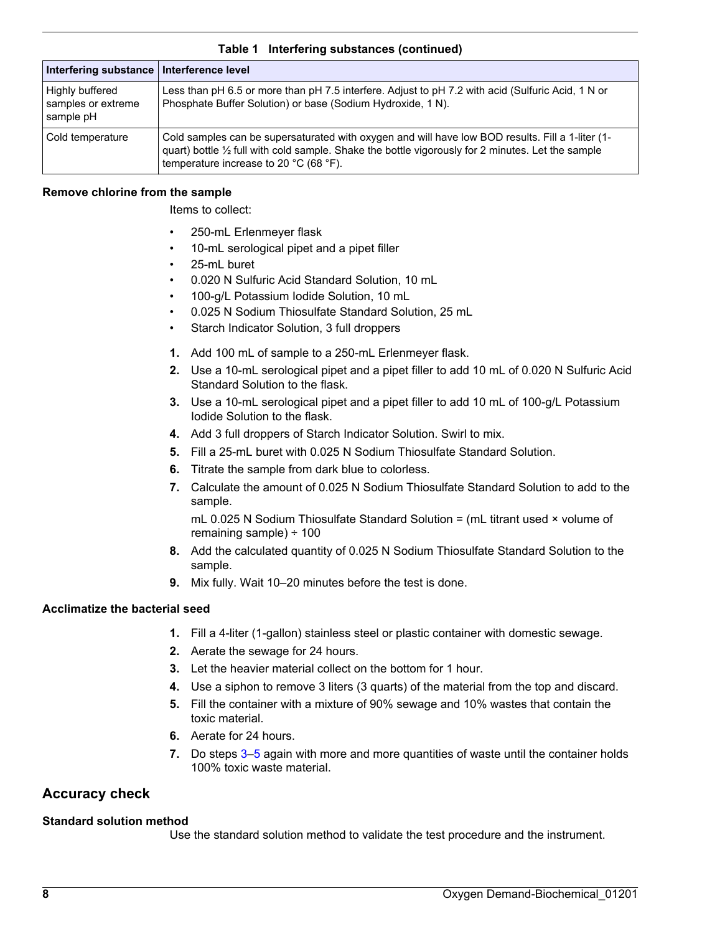<span id="page-7-0"></span>

| Interfering substance   Interference level         |                                                                                                                                                                                                                                                  |
|----------------------------------------------------|--------------------------------------------------------------------------------------------------------------------------------------------------------------------------------------------------------------------------------------------------|
| Highly buffered<br>samples or extreme<br>sample pH | Less than pH 6.5 or more than pH 7.5 interfere. Adjust to pH 7.2 with acid (Sulfuric Acid, 1 N or<br>Phosphate Buffer Solution) or base (Sodium Hydroxide, 1 N).                                                                                 |
| Cold temperature                                   | Cold samples can be supersaturated with oxygen and will have low BOD results. Fill a 1-liter (1-<br>guart) bottle 1/2 full with cold sample. Shake the bottle vigorously for 2 minutes. Let the sample<br>temperature increase to 20 °C (68 °F). |

#### **Table 1 Interfering substances (continued)**

#### **Remove chlorine from the sample**

Items to collect:

- 250-mL Erlenmeyer flask
- 10-mL serological pipet and a pipet filler
- 25-mL buret
- 0.020 N Sulfuric Acid Standard Solution, 10 mL
- 100-g/L Potassium Iodide Solution, 10 mL
- 0.025 N Sodium Thiosulfate Standard Solution, 25 mL
- Starch Indicator Solution, 3 full droppers
- **1.** Add 100 mL of sample to a 250-mL Erlenmeyer flask.
- **2.** Use a 10-mL serological pipet and a pipet filler to add 10 mL of 0.020 N Sulfuric Acid Standard Solution to the flask.
- **3.** Use a 10-mL serological pipet and a pipet filler to add 10 mL of 100-g/L Potassium Iodide Solution to the flask.
- **4.** Add 3 full droppers of Starch Indicator Solution. Swirl to mix.
- **5.** Fill a 25-mL buret with 0.025 N Sodium Thiosulfate Standard Solution.
- **6.** Titrate the sample from dark blue to colorless.
- **7.** Calculate the amount of 0.025 N Sodium Thiosulfate Standard Solution to add to the sample.

mL 0.025 N Sodium Thiosulfate Standard Solution = (mL titrant used × volume of remaining sample) ÷ 100

- **8.** Add the calculated quantity of 0.025 N Sodium Thiosulfate Standard Solution to the sample.
- **9.** Mix fully. Wait 10–20 minutes before the test is done.

#### **Acclimatize the bacterial seed**

- **1.** Fill a 4-liter (1-gallon) stainless steel or plastic container with domestic sewage.
- **2.** Aerate the sewage for 24 hours.
- **3.** Let the heavier material collect on the bottom for 1 hour.
- **4.** Use a siphon to remove 3 liters (3 quarts) of the material from the top and discard.
- **5.** Fill the container with a mixture of 90% sewage and 10% wastes that contain the toxic material.
- **6.** Aerate for 24 hours.
- **7.** Do steps 3–5 again with more and more quantities of waste until the container holds 100% toxic waste material.

## **Accuracy check**

#### **Standard solution method**

Use the standard solution method to validate the test procedure and the instrument.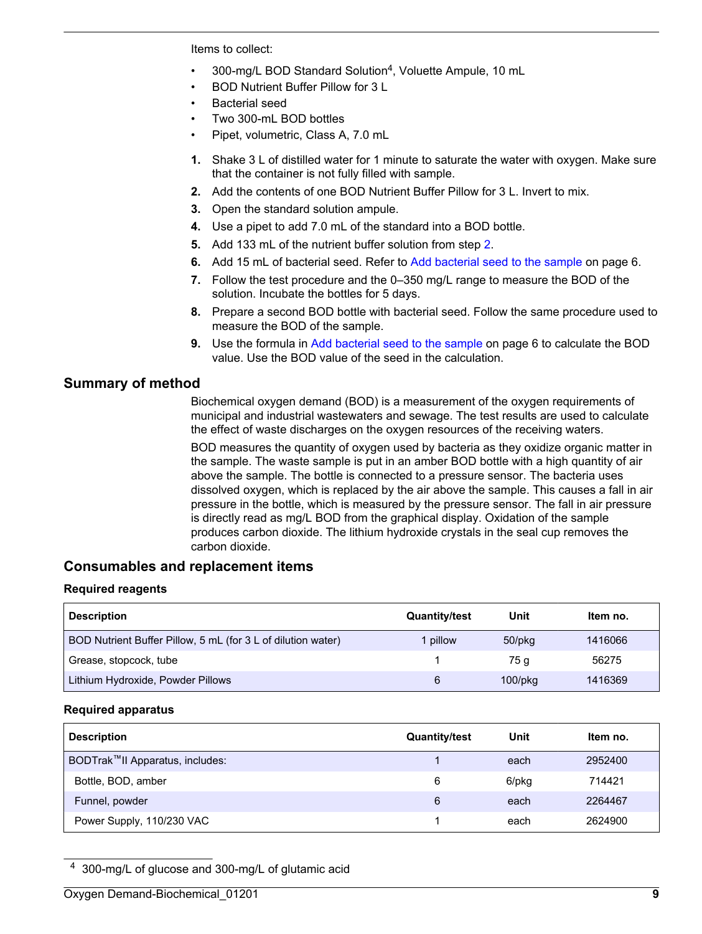<span id="page-8-0"></span>Items to collect:

- 300-mg/L BOD Standard Solution<sup>4</sup>, Voluette Ampule, 10 mL
- BOD Nutrient Buffer Pillow for 3 L
- Bacterial seed
- Two 300-mL BOD bottles
- Pipet, volumetric, Class A, 7.0 mL
- **1.** Shake 3 L of distilled water for 1 minute to saturate the water with oxygen. Make sure that the container is not fully filled with sample.
- **2.** Add the contents of one BOD Nutrient Buffer Pillow for 3 L. Invert to mix.
- **3.** Open the standard solution ampule.
- **4.** Use a pipet to add 7.0 mL of the standard into a BOD bottle.
- **5.** Add 133 mL of the nutrient buffer solution from step 2.
- **6.** Add 15 mL of bacterial seed. Refer to [Add bacterial seed to the sample](#page-5-0) on page 6.
- **7.** Follow the test procedure and the 0–350 mg/L range to measure the BOD of the solution. Incubate the bottles for 5 days.
- **8.** Prepare a second BOD bottle with bacterial seed. Follow the same procedure used to measure the BOD of the sample.
- **9.** Use the formula in [Add bacterial seed to the sample](#page-5-0) on page 6 to calculate the BOD value. Use the BOD value of the seed in the calculation.

## **Summary of method**

Biochemical oxygen demand (BOD) is a measurement of the oxygen requirements of municipal and industrial wastewaters and sewage. The test results are used to calculate the effect of waste discharges on the oxygen resources of the receiving waters.

BOD measures the quantity of oxygen used by bacteria as they oxidize organic matter in the sample. The waste sample is put in an amber BOD bottle with a high quantity of air above the sample. The bottle is connected to a pressure sensor. The bacteria uses dissolved oxygen, which is replaced by the air above the sample. This causes a fall in air pressure in the bottle, which is measured by the pressure sensor. The fall in air pressure is directly read as mg/L BOD from the graphical display. Oxidation of the sample produces carbon dioxide. The lithium hydroxide crystals in the seal cup removes the carbon dioxide.

## **Consumables and replacement items**

#### **Required reagents**

| <b>Description</b>                                           | <b>Quantity/test</b> | Unit          | ltem no. |
|--------------------------------------------------------------|----------------------|---------------|----------|
| BOD Nutrient Buffer Pillow, 5 mL (for 3 L of dilution water) | pillow               | 50/pkg        | 1416066  |
| Grease, stopcock, tube                                       |                      | 75 a          | 56275    |
| Lithium Hydroxide, Powder Pillows                            | 6                    | $100$ /p $kg$ | 1416369  |

#### **Required apparatus**

| <b>Description</b>              | <b>Quantity/test</b> | Unit  | Item no. |
|---------------------------------|----------------------|-------|----------|
| BODTrak™II Apparatus, includes: |                      | each  | 2952400  |
| Bottle, BOD, amber              | 6                    | 6/pkg | 714421   |
| Funnel, powder                  | 6                    | each  | 2264467  |
| Power Supply, 110/230 VAC       |                      | each  | 2624900  |

<sup>4</sup> 300-mg/L of glucose and 300-mg/L of glutamic acid